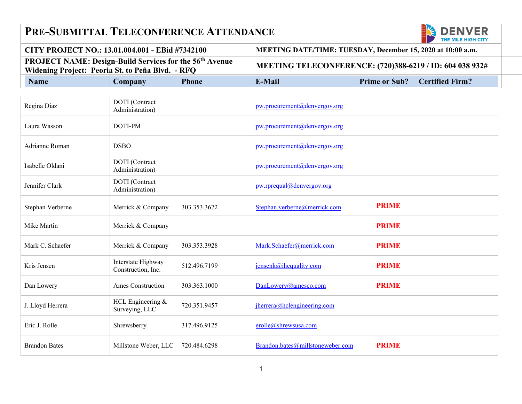## **PRE-SUBMITTAL TELECONFERENCE ATTENDANCE**



| CITY PROJECT NO.: 13.01.004.001 - EBid #7342100                                                                               |         |              | MEETING DATE/TIME: TUESDAY, December 15, 2020 at 10:00 a.m. |  |                                      |
|-------------------------------------------------------------------------------------------------------------------------------|---------|--------------|-------------------------------------------------------------|--|--------------------------------------|
| <b>PROJECT NAME: Design-Build Services for the 56<sup>th</sup> Avenue</b><br>Widening Project: Peoria St. to Peña Blvd. - RFQ |         |              | MEETING TELECONFERENCE: (720)388-6219 / ID: 604 038 932#    |  |                                      |
| <b>Name</b>                                                                                                                   | Company | <b>Phone</b> | E-Mail                                                      |  | <b>Prime or Sub?</b> Certified Firm? |

| Regina Diaz          | DOTI (Contract<br>Administration)        |              | pw.procurement@denvergov.org     |              |  |
|----------------------|------------------------------------------|--------------|----------------------------------|--------------|--|
| Laura Wasson         | DOTI-PM                                  |              | pw.procurement@denvergov.org     |              |  |
| Adrianne Roman       | <b>DSBO</b>                              |              | pw.procurement@denvergov.org     |              |  |
| Isabelle Oldani      | DOTI (Contract<br>Administration)        |              | pw.procurement@denvergov.org     |              |  |
| Jennifer Clark       | DOTI (Contract<br>Administration)        |              | pw.rprequal@denvergov.org        |              |  |
| Stephan Verberne     | Merrick & Company                        | 303.353.3672 | Stephan.verberne@merrick.com     | <b>PRIME</b> |  |
| Mike Martin          | Merrick & Company                        |              |                                  | <b>PRIME</b> |  |
| Mark C. Schaefer     | Merrick & Company                        | 303.353.3928 | Mark.Schaefer@merrick.com        | <b>PRIME</b> |  |
| Kris Jensen          | Interstate Highway<br>Construction, Inc. | 512.496.7199 | jensenk@ihcquality.com           | <b>PRIME</b> |  |
| Dan Lowery           | Ames Construction                        | 303.363.1000 | DanLowery@amesco.com             | <b>PRIME</b> |  |
| J. Lloyd Herrera     | HCL Engineering &<br>Surveying, LLC      | 720.351.9457 | jherrera@hclengineering.com      |              |  |
| Eric J. Rolle        | Shrewsberry                              | 317.496.9125 | erolle@shrewsusa.com             |              |  |
| <b>Brandon Bates</b> | Millstone Weber, LLC                     | 720.484.6298 | Brandon.bates@millstoneweber.com | <b>PRIME</b> |  |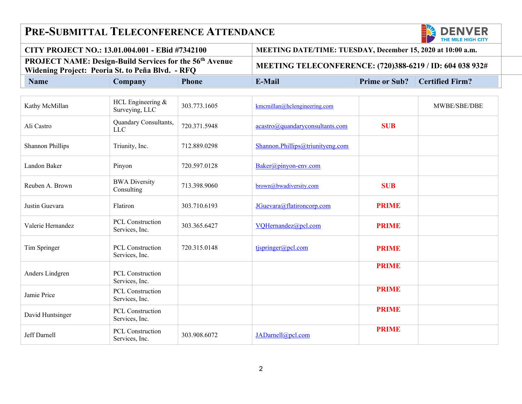## **PRE-SUBMITTAL TELECONFERENCE ATTENDANCE**



| └ CITY PROJECT NO.: 13.01.004.001 - EBid #7342100                                                                  |         |                                                          | MEETING DATE/TIME: TUESDAY, December 15, 2020 at 10:00 a.m. |  |                                      |
|--------------------------------------------------------------------------------------------------------------------|---------|----------------------------------------------------------|-------------------------------------------------------------|--|--------------------------------------|
| <b>PROJECT NAME: Design-Build Services for the 56th Avenue</b><br>Widening Project: Peoria St. to Peña Blvd. - RFQ |         | MEETING TELECONFERENCE: (720)388-6219 / ID: 604 038 932# |                                                             |  |                                      |
| <b>Name</b>                                                                                                        | Company | <b>Phone</b>                                             | E-Mail                                                      |  | <b>Prime or Sub?</b> Certified Firm? |

| Kathy McMillan          | HCL Engineering &<br>Surveying, LLC       | 303.773.1605 | kmcmillan@hclengineering.com     |              | MWBE/SBE/DBE |
|-------------------------|-------------------------------------------|--------------|----------------------------------|--------------|--------------|
| Ali Castro              | Quandary Consultants,<br><b>LLC</b>       | 720.371.5948 | acastro@quandaryconsultants.com  | <b>SUB</b>   |              |
| <b>Shannon Phillips</b> | Triunity, Inc.                            | 712.889.0298 | Shannon.Phillips@triunityeng.com |              |              |
| Landon Baker            | Pinyon                                    | 720.597.0128 | Baker@pinyon-env.com             |              |              |
| Reuben A. Brown         | <b>BWA Diversity</b><br>Consulting        | 713.398.9060 | brown@bwadiversity.com           | <b>SUB</b>   |              |
| Justin Guevara          | Flatiron                                  | 303.710.6193 | JGuevara@flatironcorp.com        | <b>PRIME</b> |              |
| Valerie Hernandez       | <b>PCL Construction</b><br>Services, Inc. | 303.365.6427 | VQHernandez@pcl.com              | <b>PRIME</b> |              |
| Tim Springer            | PCL Construction<br>Services, Inc.        | 720.315.0148 | $t$ jspringer@pcl.com            | <b>PRIME</b> |              |
| Anders Lindgren         | <b>PCL Construction</b><br>Services, Inc. |              |                                  | <b>PRIME</b> |              |
| Jamie Price             | PCL Construction<br>Services, Inc.        |              |                                  | <b>PRIME</b> |              |
| David Huntsinger        | <b>PCL Construction</b><br>Services, Inc. |              |                                  | <b>PRIME</b> |              |
| Jeff Darnell            | PCL Construction<br>Services, Inc.        | 303.908.6072 | JADarnell@pcl.com                | <b>PRIME</b> |              |